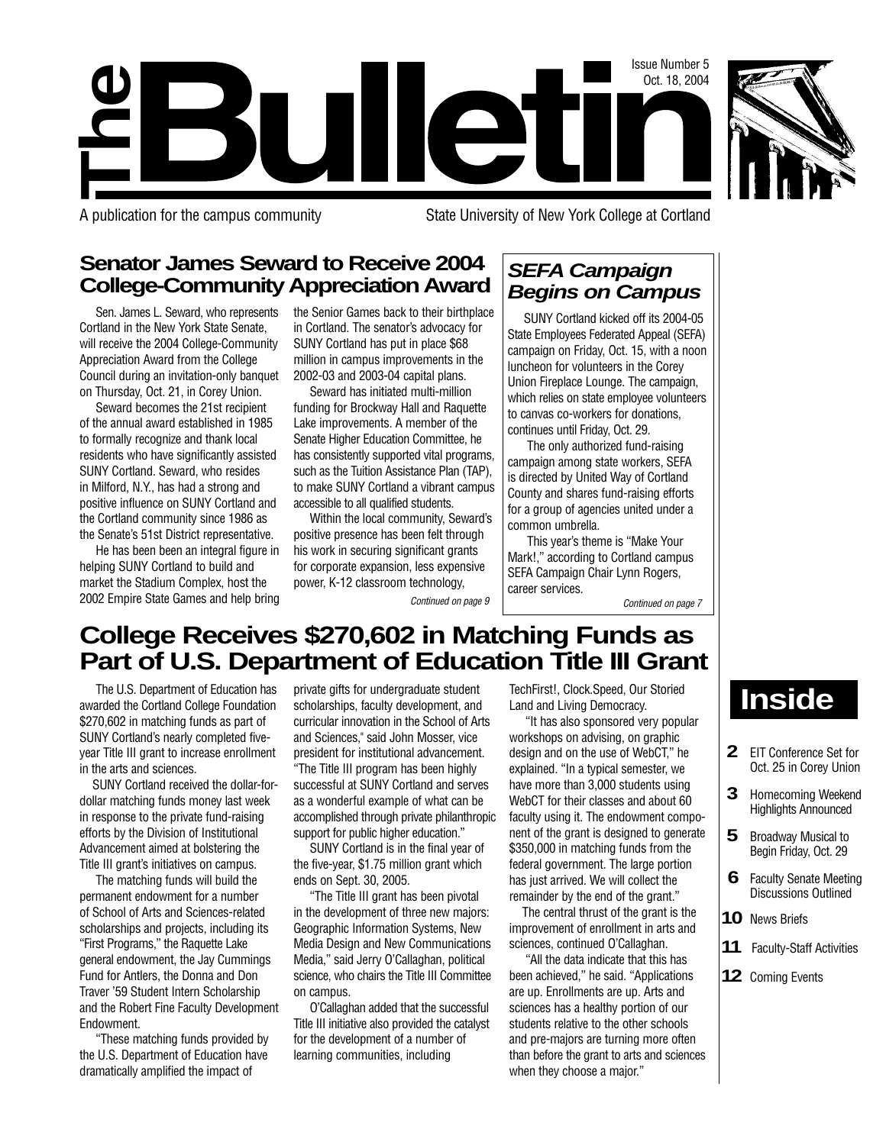



A publication for the campus community State University of New York College at Cortland

## **Senator James Seward to Receive 2004 College-Community Appreciation Award**

Sen. James L. Seward, who represents Cortland in the New York State Senate, will receive the 2004 College-Community Appreciation Award from the College Council during an invitation-only banquet on Thursday, Oct. 21, in Corey Union.

Seward becomes the 21st recipient of the annual award established in 1985 to formally recognize and thank local residents who have significantly assisted SUNY Cortland. Seward, who resides in Milford, N.Y., has had a strong and positive influence on SUNY Cortland and the Cortland community since 1986 as the Senate's 51st District representative.

He has been been an integral figure in helping SUNY Cortland to build and market the Stadium Complex, host the 2002 Empire State Games and help bring the Senior Games back to their birthplace in Cortland. The senator's advocacy for SUNY Cortland has put in place \$68 million in campus improvements in the 2002-03 and 2003-04 capital plans.

Seward has initiated multi-million funding for Brockway Hall and Raquette Lake improvements. A member of the Senate Higher Education Committee, he has consistently supported vital programs, such as the Tuition Assistance Plan (TAP), to make SUNY Cortland a vibrant campus accessible to all qualified students.

Within the local community, Seward's positive presence has been felt through his work in securing significant grants for corporate expansion, less expensive power, K-12 classroom technology,

Continued on page 9

## **SEFA Campaign Begins on Campus**

SUNY Cortland kicked off its 2004-05 State Employees Federated Appeal (SEFA) campaign on Friday, Oct. 15, with a noon luncheon for volunteers in the Corey Union Fireplace Lounge. The campaign, which relies on state employee volunteers to canvas co-workers for donations, continues until Friday, Oct. 29.

The only authorized fund-raising campaign among state workers, SEFA is directed by United Way of Cortland County and shares fund-raising efforts for a group of agencies united under a common umbrella.

This year's theme is "Make Your Mark!," according to Cortland campus SEFA Campaign Chair Lynn Rogers, career services.

Continued on page 7

# **College Receives \$270,602 in Matching Funds as Part of U.S. Department of Education Title III Grant**

The U.S. Department of Education has awarded the Cortland College Foundation \$270,602 in matching funds as part of SUNY Cortland's nearly completed fiveyear Title III grant to increase enrollment in the arts and sciences.

SUNY Cortland received the dollar-fordollar matching funds money last week in response to the private fund-raising efforts by the Division of Institutional Advancement aimed at bolstering the Title III grant's initiatives on campus.

The matching funds will build the permanent endowment for a number of School of Arts and Sciences-related scholarships and projects, including its "First Programs," the Raquette Lake general endowment, the Jay Cummings Fund for Antlers, the Donna and Don Traver '59 Student Intern Scholarship and the Robert Fine Faculty Development Endowment.

"These matching funds provided by the U.S. Department of Education have dramatically amplified the impact of

private gifts for undergraduate student scholarships, faculty development, and curricular innovation in the School of Arts and Sciences," said John Mosser, vice president for institutional advancement. "The Title III program has been highly successful at SUNY Cortland and serves as a wonderful example of what can be accomplished through private philanthropic support for public higher education."

SUNY Cortland is in the final year of the five-year, \$1.75 million grant which ends on Sept. 30, 2005.

"The Title III grant has been pivotal in the development of three new majors: Geographic Information Systems, New Media Design and New Communications Media," said Jerry O'Callaghan, political science, who chairs the Title III Committee on campus.

O'Callaghan added that the successful Title III initiative also provided the catalyst for the development of a number of learning communities, including

TechFirst!, Clock.Speed, Our Storied Land and Living Democracy.

"It has also sponsored very popular workshops on advising, on graphic design and on the use of WebCT," he explained. "In a typical semester, we have more than 3,000 students using WebCT for their classes and about 60 faculty using it. The endowment component of the grant is designed to generate \$350,000 in matching funds from the federal government. The large portion has just arrived. We will collect the remainder by the end of the grant."

The central thrust of the grant is the improvement of enrollment in arts and sciences, continued O'Callaghan.

"All the data indicate that this has been achieved," he said. "Applications are up. Enrollments are up. Arts and sciences has a healthy portion of our students relative to the other schools and pre-majors are turning more often than before the grant to arts and sciences when they choose a major."

# **Inside**

- **2** EIT Conference Set for Oct. 25 in Corey Union
- **3** Homecoming Weekend Highlights Announced
- **5** Broadway Musical to Begin Friday, Oct. 29
- **6** Faculty Senate Meeting Discussions Outlined
- **10** News Briefs
- **11** Faculty-Staff Activities
- **12** Coming Events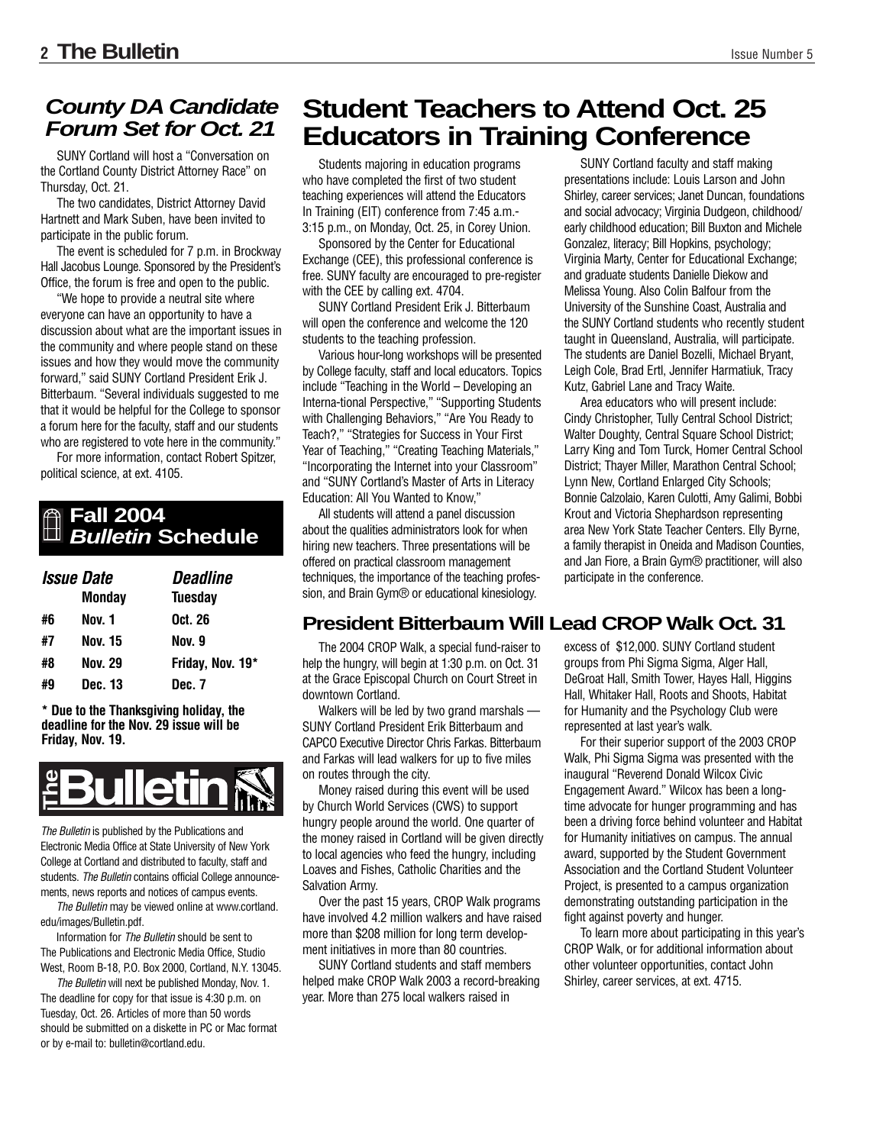## **County DA Candidate Forum Set for Oct. 21**

SUNY Cortland will host a "Conversation on the Cortland County District Attorney Race" on Thursday, Oct. 21.

The two candidates, District Attorney David Hartnett and Mark Suben, have been invited to participate in the public forum.

The event is scheduled for 7 p.m. in Brockway Hall Jacobus Lounge. Sponsored by the President's Office, the forum is free and open to the public.

"We hope to provide a neutral site where everyone can have an opportunity to have a discussion about what are the important issues in the community and where people stand on these issues and how they would move the community forward," said SUNY Cortland President Erik J. Bitterbaum. "Several individuals suggested to me that it would be helpful for the College to sponsor a forum here for the faculty, staff and our students who are registered to vote here in the community."

For more information, contact Robert Spitzer, political science, at ext. 4105.

## **Fall 2004 Bulletin Schedule**

| <i><b>Issue Date</b></i> |                | <b>Deadline</b>  |
|--------------------------|----------------|------------------|
|                          | <b>Monday</b>  | <b>Tuesday</b>   |
| #6                       | Nov. 1         | Oct. 26          |
| #7                       | <b>Nov. 15</b> | Nov. 9           |
| #8                       | Nov. 29        | Friday, Nov. 19* |
| #9                       | Dec. 13        | Dec. 7           |

**\* Due to the Thanksgiving holiday, the deadline for the Nov. 29 issue will be Friday, Nov. 19.**



The Bulletin is published by the Publications and Electronic Media Office at State University of New York College at Cortland and distributed to faculty, staff and students. The Bulletin contains official College announcements, news reports and notices of campus events. **Example 12**<br>
The Bulletin is published by the Publica<br>
Electronic Media Office at State Univers<br>
College at Cortland and distributed to fa<br>
students. The Bulletin contains official C<br>
ments, news reports and notices of ca

The Bulletin may be viewed online at www.cortland. edu/images/Bulletin.pdf.

Information for The Bulletin should be sent to The Publications and Electronic Media Office, Studio West, Room B-18, P.O. Box 2000, Cortland, N.Y. 13045.

The Bulletin will next be published Monday, Nov. 1. The deadline for copy for that issue is 4:30 p.m. on Tuesday, Oct. 26. Articles of more than 50 words should be submitted on a diskette in PC or Mac format

# **Student Teachers to Attend Oct. 25 Educators in Training Conference**

Students majoring in education programs who have completed the first of two student teaching experiences will attend the Educators In Training (EIT) conference from 7:45 a.m.- 3:15 p.m., on Monday, Oct. 25, in Corey Union.

Sponsored by the Center for Educational Exchange (CEE), this professional conference is free. SUNY faculty are encouraged to pre-register with the CEE by calling ext. 4704.

SUNY Cortland President Erik J. Bitterbaum will open the conference and welcome the 120 students to the teaching profession.

Various hour-long workshops will be presented by College faculty, staff and local educators. Topics include "Teaching in the World – Developing an Interna-tional Perspective," "Supporting Students with Challenging Behaviors," "Are You Ready to Teach?," "Strategies for Success in Your First Year of Teaching," "Creating Teaching Materials," "Incorporating the Internet into your Classroom" and "SUNY Cortland's Master of Arts in Literacy Education: All You Wanted to Know,"

All students will attend a panel discussion about the qualities administrators look for when hiring new teachers. Three presentations will be offered on practical classroom management techniques, the importance of the teaching profession, and Brain Gym® or educational kinesiology.

SUNY Cortland faculty and staff making presentations include: Louis Larson and John Shirley, career services; Janet Duncan, foundations and social advocacy; Virginia Dudgeon, childhood/ early childhood education; Bill Buxton and Michele Gonzalez, literacy; Bill Hopkins, psychology; Virginia Marty, Center for Educational Exchange; and graduate students Danielle Diekow and Melissa Young. Also Colin Balfour from the University of the Sunshine Coast, Australia and the SUNY Cortland students who recently student taught in Queensland, Australia, will participate. The students are Daniel Bozelli, Michael Bryant, Leigh Cole, Brad Ertl, Jennifer Harmatiuk, Tracy Kutz, Gabriel Lane and Tracy Waite.

Area educators who will present include: Cindy Christopher, Tully Central School District; Walter Doughty, Central Square School District; Larry King and Tom Turck, Homer Central School District; Thayer Miller, Marathon Central School; Lynn New, Cortland Enlarged City Schools; Bonnie Calzolaio, Karen Culotti, Amy Galimi, Bobbi Krout and Victoria Shephardson representing area New York State Teacher Centers. Elly Byrne, a family therapist in Oneida and Madison Counties, and Jan Fiore, a Brain Gym® practitioner, will also participate in the conference.

## **President Bitterbaum Will Lead CROP Walk Oct. 31**

The 2004 CROP Walk, a special fund-raiser to help the hungry, will begin at 1:30 p.m. on Oct. 31 at the Grace Episcopal Church on Court Street in downtown Cortland.

Walkers will be led by two grand marshals — SUNY Cortland President Erik Bitterbaum and CAPCO Executive Director Chris Farkas. Bitterbaum and Farkas will lead walkers for up to five miles on routes through the city.

Money raised during this event will be used by Church World Services (CWS) to support hungry people around the world. One quarter of the money raised in Cortland will be given directly to local agencies who feed the hungry, including Loaves and Fishes, Catholic Charities and the Salvation Army.

Over the past 15 years, CROP Walk programs have involved 4.2 million walkers and have raised more than \$208 million for long term development initiatives in more than 80 countries.

SUNY Cortland students and staff members helped make CROP Walk 2003 a record-breaking year. More than 275 local walkers raised in

excess of \$12,000. SUNY Cortland student groups from Phi Sigma Sigma, Alger Hall, DeGroat Hall, Smith Tower, Hayes Hall, Higgins Hall, Whitaker Hall, Roots and Shoots, Habitat for Humanity and the Psychology Club were represented at last year's walk.

For their superior support of the 2003 CROP Walk, Phi Sigma Sigma was presented with the inaugural "Reverend Donald Wilcox Civic Engagement Award." Wilcox has been a longtime advocate for hunger programming and has been a driving force behind volunteer and Habitat for Humanity initiatives on campus. The annual award, supported by the Student Government Association and the Cortland Student Volunteer Project, is presented to a campus organization demonstrating outstanding participation in the fight against poverty and hunger.

To learn more about participating in this year's CROP Walk, or for additional information about other volunteer opportunities, contact John Shirley, career services, at ext. 4715.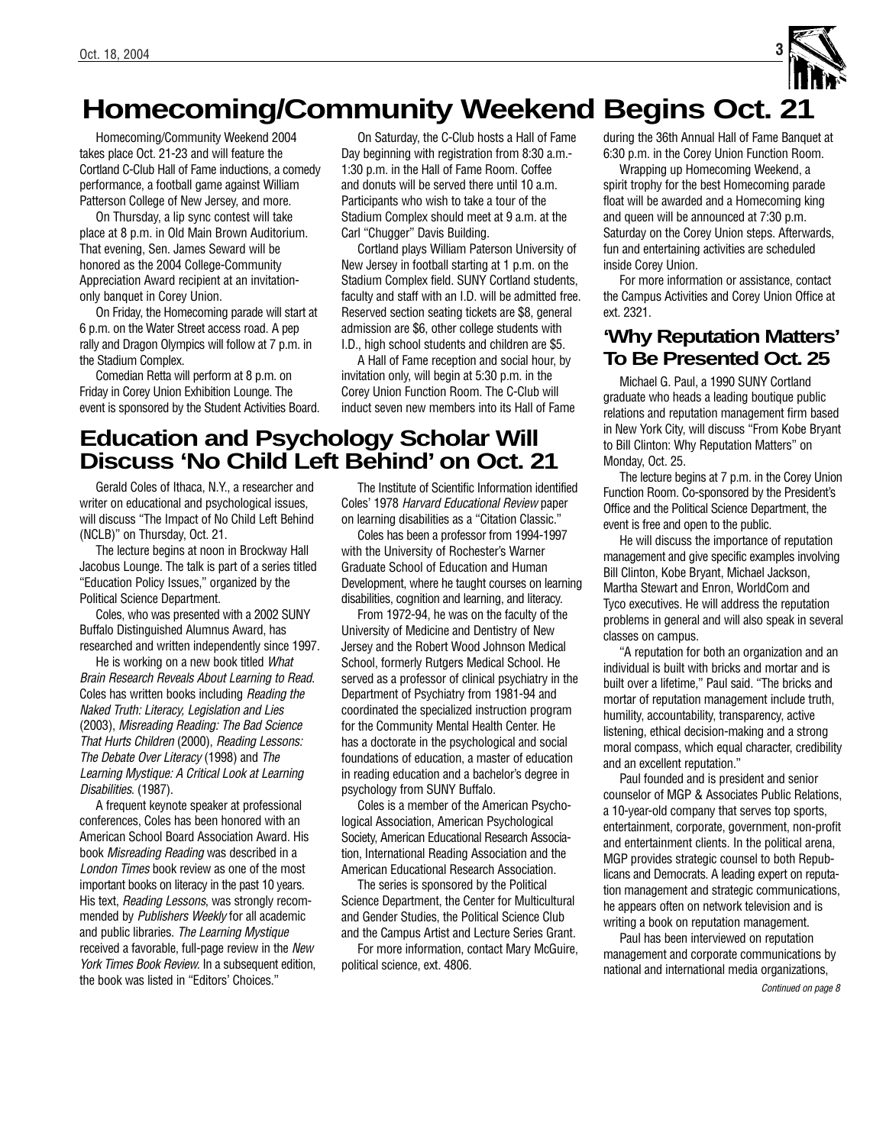

# **Homecoming/Community Weekend Begins Oct. 21**

Homecoming/Community Weekend 2004 takes place Oct. 21-23 and will feature the Cortland C-Club Hall of Fame inductions, a comedy performance, a football game against William Patterson College of New Jersey, and more.

On Thursday, a lip sync contest will take place at 8 p.m. in Old Main Brown Auditorium. That evening, Sen. James Seward will be honored as the 2004 College-Community Appreciation Award recipient at an invitationonly banquet in Corey Union.

On Friday, the Homecoming parade will start at 6 p.m. on the Water Street access road. A pep rally and Dragon Olympics will follow at 7 p.m. in the Stadium Complex.

Comedian Retta will perform at 8 p.m. on Friday in Corey Union Exhibition Lounge. The event is sponsored by the Student Activities Board.

On Saturday, the C-Club hosts a Hall of Fame Day beginning with registration from 8:30 a.m.- 1:30 p.m. in the Hall of Fame Room. Coffee and donuts will be served there until 10 a.m. Participants who wish to take a tour of the Stadium Complex should meet at 9 a.m. at the Carl "Chugger" Davis Building.

Cortland plays William Paterson University of New Jersey in football starting at 1 p.m. on the Stadium Complex field. SUNY Cortland students, faculty and staff with an I.D. will be admitted free. Reserved section seating tickets are \$8, general admission are \$6, other college students with I.D., high school students and children are \$5.

A Hall of Fame reception and social hour, by invitation only, will begin at 5:30 p.m. in the Corey Union Function Room. The C-Club will induct seven new members into its Hall of Fame

# **Education and Psychology Scholar Will Discuss 'No Child Left Behind' on Oct. 21**

Gerald Coles of Ithaca, N.Y., a researcher and writer on educational and psychological issues, will discuss "The Impact of No Child Left Behind (NCLB)" on Thursday, Oct. 21.

The lecture begins at noon in Brockway Hall Jacobus Lounge. The talk is part of a series titled "Education Policy Issues," organized by the Political Science Department.

Coles, who was presented with a 2002 SUNY Buffalo Distinguished Alumnus Award, has researched and written independently since 1997.

He is working on a new book titled What Brain Research Reveals About Learning to Read. Coles has written books including Reading the Naked Truth: Literacy, Legislation and Lies (2003), Misreading Reading: The Bad Science That Hurts Children (2000), Reading Lessons: The Debate Over Literacy (1998) and The Learning Mystique: A Critical Look at Learning Disabilities. (1987).

A frequent keynote speaker at professional conferences, Coles has been honored with an American School Board Association Award. His book Misreading Reading was described in a London Times book review as one of the most important books on literacy in the past 10 years. His text, Reading Lessons, was strongly recommended by Publishers Weekly for all academic and public libraries. The Learning Mystique received a favorable, full-page review in the New York Times Book Review. In a subsequent edition, the book was listed in "Editors' Choices."

The Institute of Scientific Information identified Coles' 1978 Harvard Educational Review paper on learning disabilities as a "Citation Classic."

Coles has been a professor from 1994-1997 with the University of Rochester's Warner Graduate School of Education and Human Development, where he taught courses on learning disabilities, cognition and learning, and literacy.

From 1972-94, he was on the faculty of the University of Medicine and Dentistry of New Jersey and the Robert Wood Johnson Medical School, formerly Rutgers Medical School. He served as a professor of clinical psychiatry in the Department of Psychiatry from 1981-94 and coordinated the specialized instruction program for the Community Mental Health Center. He has a doctorate in the psychological and social foundations of education, a master of education in reading education and a bachelor's degree in psychology from SUNY Buffalo.

Coles is a member of the American Psychological Association, American Psychological Society, American Educational Research Association, International Reading Association and the American Educational Research Association.

The series is sponsored by the Political Science Department, the Center for Multicultural and Gender Studies, the Political Science Club and the Campus Artist and Lecture Series Grant.

For more information, contact Mary McGuire, political science, ext. 4806.

during the 36th Annual Hall of Fame Banquet at 6:30 p.m. in the Corey Union Function Room.

Wrapping up Homecoming Weekend, a spirit trophy for the best Homecoming parade float will be awarded and a Homecoming king and queen will be announced at 7:30 p.m. Saturday on the Corey Union steps. Afterwards, fun and entertaining activities are scheduled inside Corey Union.

For more information or assistance, contact the Campus Activities and Corey Union Office at ext. 2321.

## **'Why Reputation Matters' To Be Presented Oct. 25**

Michael G. Paul, a 1990 SUNY Cortland graduate who heads a leading boutique public relations and reputation management firm based in New York City, will discuss "From Kobe Bryant to Bill Clinton: Why Reputation Matters" on Monday, Oct. 25.

The lecture begins at 7 p.m. in the Corey Union Function Room. Co-sponsored by the President's Office and the Political Science Department, the event is free and open to the public.

He will discuss the importance of reputation management and give specific examples involving Bill Clinton, Kobe Bryant, Michael Jackson, Martha Stewart and Enron, WorldCom and Tyco executives. He will address the reputation problems in general and will also speak in several classes on campus.

"A reputation for both an organization and an individual is built with bricks and mortar and is built over a lifetime," Paul said. "The bricks and mortar of reputation management include truth, humility, accountability, transparency, active listening, ethical decision-making and a strong moral compass, which equal character, credibility and an excellent reputation."

Paul founded and is president and senior counselor of MGP & Associates Public Relations, a 10-year-old company that serves top sports, entertainment, corporate, government, non-profit and entertainment clients. In the political arena, MGP provides strategic counsel to both Republicans and Democrats. A leading expert on reputation management and strategic communications, he appears often on network television and is writing a book on reputation management.

Paul has been interviewed on reputation management and corporate communications by national and international media organizations,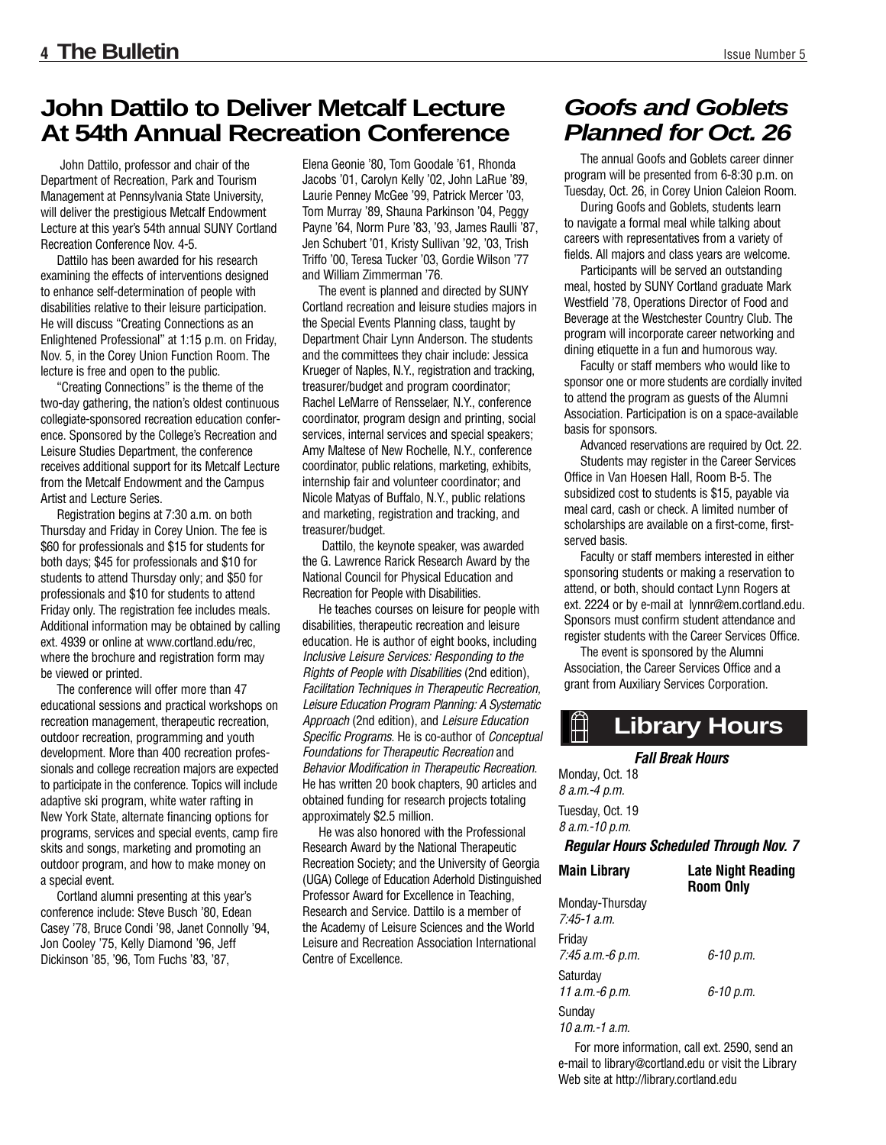# **John Dattilo to Deliver Metcalf Lecture At 54th Annual Recreation Conference**

John Dattilo, professor and chair of the Department of Recreation, Park and Tourism Management at Pennsylvania State University, will deliver the prestigious Metcalf Endowment Lecture at this year's 54th annual SUNY Cortland Recreation Conference Nov. 4-5.

Dattilo has been awarded for his research examining the effects of interventions designed to enhance self-determination of people with disabilities relative to their leisure participation. He will discuss "Creating Connections as an Enlightened Professional" at 1:15 p.m. on Friday, Nov. 5, in the Corey Union Function Room. The lecture is free and open to the public.

"Creating Connections" is the theme of the two-day gathering, the nation's oldest continuous collegiate-sponsored recreation education conference. Sponsored by the College's Recreation and Leisure Studies Department, the conference receives additional support for its Metcalf Lecture from the Metcalf Endowment and the Campus Artist and Lecture Series.

Registration begins at 7:30 a.m. on both Thursday and Friday in Corey Union. The fee is \$60 for professionals and \$15 for students for both days; \$45 for professionals and \$10 for students to attend Thursday only; and \$50 for professionals and \$10 for students to attend Friday only. The registration fee includes meals. Additional information may be obtained by calling ext. 4939 or online at www.cortland.edu/rec, where the brochure and registration form may be viewed or printed.

The conference will offer more than 47 educational sessions and practical workshops on recreation management, therapeutic recreation, outdoor recreation, programming and youth development. More than 400 recreation professionals and college recreation majors are expected to participate in the conference. Topics will include adaptive ski program, white water rafting in New York State, alternate financing options for programs, services and special events, camp fire skits and songs, marketing and promoting an outdoor program, and how to make money on a special event.

Cortland alumni presenting at this year's conference include: Steve Busch '80, Edean Casey '78, Bruce Condi '98, Janet Connolly '94, Jon Cooley '75, Kelly Diamond '96, Jeff Dickinson '85, '96, Tom Fuchs '83, '87,

Elena Geonie '80, Tom Goodale '61, Rhonda Jacobs '01, Carolyn Kelly '02, John LaRue '89, Laurie Penney McGee '99, Patrick Mercer '03, Tom Murray '89, Shauna Parkinson '04, Peggy Payne '64, Norm Pure '83, '93, James Raulli '87, Jen Schubert '01, Kristy Sullivan '92, '03, Trish Triffo '00, Teresa Tucker '03, Gordie Wilson '77 and William Zimmerman '76.

The event is planned and directed by SUNY Cortland recreation and leisure studies majors in the Special Events Planning class, taught by Department Chair Lynn Anderson. The students and the committees they chair include: Jessica Krueger of Naples, N.Y., registration and tracking, treasurer/budget and program coordinator; Rachel LeMarre of Rensselaer, N.Y., conference coordinator, program design and printing, social services, internal services and special speakers; Amy Maltese of New Rochelle, N.Y., conference coordinator, public relations, marketing, exhibits, internship fair and volunteer coordinator; and Nicole Matyas of Buffalo, N.Y., public relations and marketing, registration and tracking, and treasurer/budget.

Dattilo, the keynote speaker, was awarded the G. Lawrence Rarick Research Award by the National Council for Physical Education and Recreation for People with Disabilities.

He teaches courses on leisure for people with disabilities, therapeutic recreation and leisure education. He is author of eight books, including Inclusive Leisure Services: Responding to the Rights of People with Disabilities (2nd edition), Facilitation Techniques in Therapeutic Recreation, Leisure Education Program Planning: A Systematic Approach (2nd edition), and Leisure Education Specific Programs. He is co-author of Conceptual Foundations for Therapeutic Recreation and Behavior Modification in Therapeutic Recreation. He has written 20 book chapters, 90 articles and obtained funding for research projects totaling approximately \$2.5 million.

He was also honored with the Professional Research Award by the National Therapeutic Recreation Society; and the University of Georgia (UGA) College of Education Aderhold Distinguished Professor Award for Excellence in Teaching, Research and Service. Dattilo is a member of the Academy of Leisure Sciences and the World Leisure and Recreation Association International Centre of Excellence.

# **Goofs and Goblets Planned for Oct. 26**

The annual Goofs and Goblets career dinner program will be presented from 6-8:30 p.m. on Tuesday, Oct. 26, in Corey Union Caleion Room.

During Goofs and Goblets, students learn to navigate a formal meal while talking about careers with representatives from a variety of fields. All majors and class years are welcome.

Participants will be served an outstanding meal, hosted by SUNY Cortland graduate Mark Westfield '78, Operations Director of Food and Beverage at the Westchester Country Club. The program will incorporate career networking and dining etiquette in a fun and humorous way.

Faculty or staff members who would like to sponsor one or more students are cordially invited to attend the program as guests of the Alumni Association. Participation is on a space-available basis for sponsors.

Advanced reservations are required by Oct. 22. Students may register in the Career Services Office in Van Hoesen Hall, Room B-5. The subsidized cost to students is \$15, payable via meal card, cash or check. A limited number of scholarships are available on a first-come, firstserved basis.

Faculty or staff members interested in either sponsoring students or making a reservation to attend, or both, should contact Lynn Rogers at ext. 2224 or by e-mail at lynnr@em.cortland.edu. Sponsors must confirm student attendance and register students with the Career Services Office.

The event is sponsored by the Alumni Association, the Career Services Office and a grant from Auxiliary Services Corporation.

#### **Library Hours**   $\mathbb{H}$

*Fall Break Hours*

Monday, Oct. 18 8 a.m.-4 p.m. Tuesday, Oct. 19 8 a.m.-10 p.m.

#### *Regular Hours Scheduled Through Nov. 7*

| <b>Main Library</b>                | <b>Late Night Reading</b><br><b>Room Only</b> |
|------------------------------------|-----------------------------------------------|
| Monday-Thursday<br>$7.45 - 1$ a.m. |                                               |
| Friday<br>7:45 а.т.-6 р.т.         | 6-10 p.m.                                     |
| Saturday<br>11 a.m.-6 p.m.         | 6-10 p.m.                                     |
| Sunday<br>$10 a.m.-1 a.m.$         |                                               |

For more information, call ext. 2590, send an e-mail to library@cortland.edu or visit the Library Web site at http://library.cortland.edu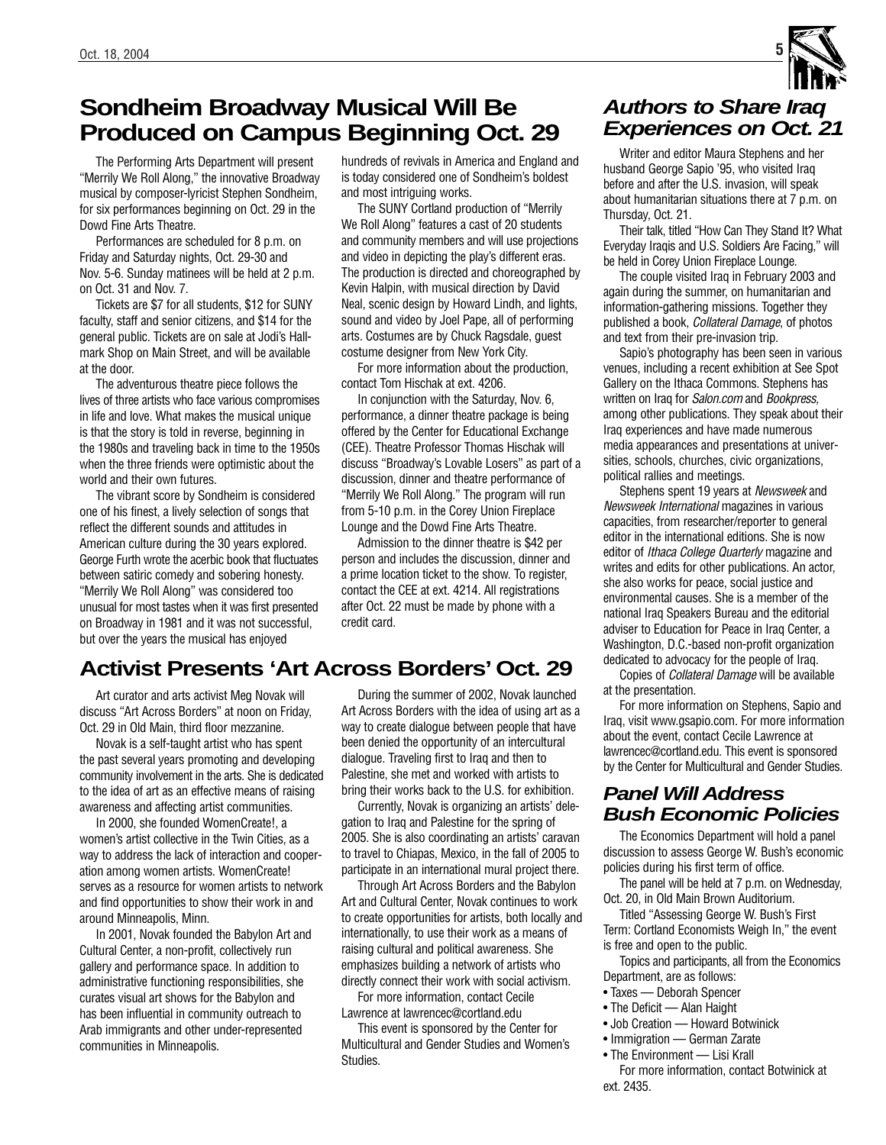# **Sondheim Broadway Musical Will Be Produced on Campus Beginning Oct. 29**

The Performing Arts Department will present "Merrily We Roll Along," the innovative Broadway musical by composer-lyricist Stephen Sondheim, for six performances beginning on Oct. 29 in the Dowd Fine Arts Theatre.

Performances are scheduled for 8 p.m. on Friday and Saturday nights, Oct. 29-30 and Nov. 5-6. Sunday matinees will be held at 2 p.m. on Oct. 31 and Nov. 7.

Tickets are \$7 for all students, \$12 for SUNY faculty, staff and senior citizens, and \$14 for the general public. Tickets are on sale at Jodi's Hallmark Shop on Main Street, and will be available at the door.

The adventurous theatre piece follows the lives of three artists who face various compromises in life and love. What makes the musical unique is that the story is told in reverse, beginning in the 1980s and traveling back in time to the 1950s when the three friends were optimistic about the world and their own futures.

The vibrant score by Sondheim is considered one of his finest, a lively selection of songs that reflect the different sounds and attitudes in American culture during the 30 years explored. George Furth wrote the acerbic book that fluctuates between satiric comedy and sobering honesty. "Merrily We Roll Along" was considered too unusual for most tastes when it was first presented on Broadway in 1981 and it was not successful, but over the years the musical has enjoyed

hundreds of revivals in America and England and is today considered one of Sondheim's boldest and most intriguing works.

The SUNY Cortland production of "Merrily We Roll Along" features a cast of 20 students and community members and will use projections and video in depicting the play's different eras. The production is directed and choreographed by Kevin Halpin, with musical direction by David Neal, scenic design by Howard Lindh, and lights, sound and video by Joel Pape, all of performing arts. Costumes are by Chuck Ragsdale, guest costume designer from New York City.

For more information about the production, contact Tom Hischak at ext. 4206.

In conjunction with the Saturday, Nov. 6, performance, a dinner theatre package is being offered by the Center for Educational Exchange (CEE). Theatre Professor Thomas Hischak will discuss "Broadway's Lovable Losers" as part of a discussion, dinner and theatre performance of "Merrily We Roll Along." The program will run from 5-10 p.m. in the Corey Union Fireplace Lounge and the Dowd Fine Arts Theatre.

Admission to the dinner theatre is \$42 per person and includes the discussion, dinner and a prime location ticket to the show. To register, contact the CEE at ext. 4214. All registrations after Oct. 22 must be made by phone with a credit card.

## **Activist Presents 'Art Across Borders' Oct. 29**

Art curator and arts activist Meg Novak will discuss "Art Across Borders" at noon on Friday, Oct. 29 in Old Main, third floor mezzanine.

Novak is a self-taught artist who has spent the past several years promoting and developing community involvement in the arts. She is dedicated to the idea of art as an effective means of raising awareness and affecting artist communities.

In 2000, she founded WomenCreate!, a women's artist collective in the Twin Cities, as a way to address the lack of interaction and cooperation among women artists. WomenCreate! serves as a resource for women artists to network and find opportunities to show their work in and around Minneapolis, Minn.

In 2001, Novak founded the Babylon Art and Cultural Center, a non-profit, collectively run gallery and performance space. In addition to administrative functioning responsibilities, she curates visual art shows for the Babylon and has been influential in community outreach to Arab immigrants and other under-represented communities in Minneapolis.

During the summer of 2002, Novak launched Art Across Borders with the idea of using art as a way to create dialogue between people that have been denied the opportunity of an intercultural dialogue. Traveling first to Iraq and then to Palestine, she met and worked with artists to bring their works back to the U.S. for exhibition.

Currently, Novak is organizing an artists' delegation to Iraq and Palestine for the spring of 2005. She is also coordinating an artists' caravan to travel to Chiapas, Mexico, in the fall of 2005 to participate in an international mural project there.

Through Art Across Borders and the Babylon Art and Cultural Center, Novak continues to work to create opportunities for artists, both locally and internationally, to use their work as a means of raising cultural and political awareness. She emphasizes building a network of artists who directly connect their work with social activism.

For more information, contact Cecile Lawrence at lawrencec@cortland.edu

This event is sponsored by the Center for Multicultural and Gender Studies and Women's Studies.

## **Authors to Share Iraq Experiences on Oct. 21**

Writer and editor Maura Stephens and her husband George Sapio '95, who visited Iraq before and after the U.S. invasion, will speak about humanitarian situations there at 7 p.m. on Thursday, Oct. 21.

Their talk, titled "How Can They Stand It? What Everyday Iraqis and U.S. Soldiers Are Facing," will be held in Corey Union Fireplace Lounge.

The couple visited Iraq in February 2003 and again during the summer, on humanitarian and information-gathering missions. Together they published a book, Collateral Damage, of photos and text from their pre-invasion trip.

Sapio's photography has been seen in various venues, including a recent exhibition at See Spot Gallery on the Ithaca Commons. Stephens has written on Iraq for Salon.com and Bookpress, among other publications. They speak about their Iraq experiences and have made numerous media appearances and presentations at universities, schools, churches, civic organizations, political rallies and meetings.

Stephens spent 19 years at Newsweek and Newsweek International magazines in various capacities, from researcher/reporter to general editor in the international editions. She is now editor of *Ithaca College Quarterly* magazine and writes and edits for other publications. An actor, she also works for peace, social justice and environmental causes. She is a member of the national Iraq Speakers Bureau and the editorial adviser to Education for Peace in Iraq Center, a Washington, D.C.-based non-profit organization dedicated to advocacy for the people of Iraq.

Copies of Collateral Damage will be available at the presentation.

For more information on Stephens, Sapio and Iraq, visit www.gsapio.com. For more information about the event, contact Cecile Lawrence at lawrencec@cortland.edu. This event is sponsored by the Center for Multicultural and Gender Studies.

## **Panel Will Address Bush Economic Policies**

The Economics Department will hold a panel discussion to assess George W. Bush's economic policies during his first term of office.

The panel will be held at 7 p.m. on Wednesday, Oct. 20, in Old Main Brown Auditorium.

Titled "Assessing George W. Bush's First Term: Cortland Economists Weigh In," the event is free and open to the public.

Topics and participants, all from the Economics Department, are as follows:

- Taxes Deborah Spencer
- The Deficit Alan Haight
- Job Creation Howard Botwinick
- Immigration German Zarate
- The Environment Lisi Krall

For more information, contact Botwinick at ext. 2435.

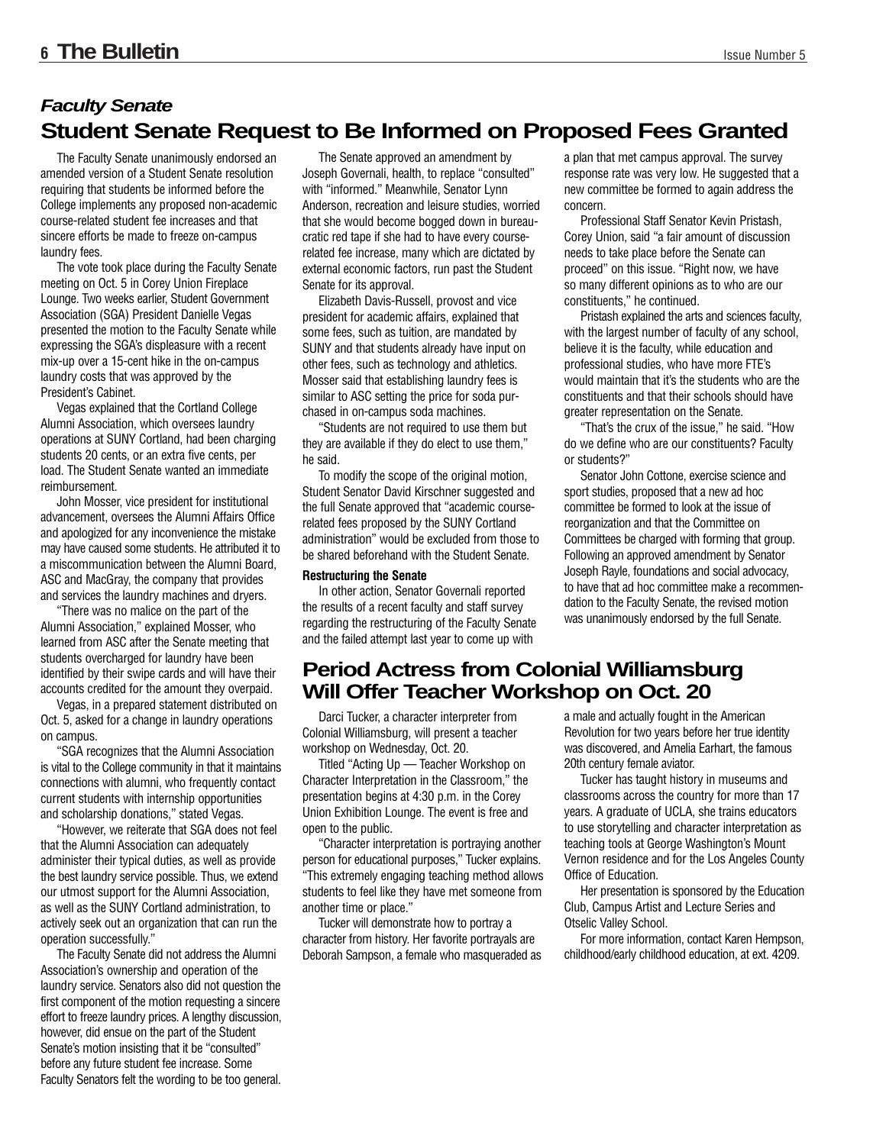## **Student Senate Request to Be Informed on Proposed Fees Granted Faculty Senate**

The Faculty Senate unanimously endorsed an amended version of a Student Senate resolution requiring that students be informed before the College implements any proposed non-academic course-related student fee increases and that sincere efforts be made to freeze on-campus laundry fees.

The vote took place during the Faculty Senate meeting on Oct. 5 in Corey Union Fireplace Lounge. Two weeks earlier, Student Government Association (SGA) President Danielle Vegas presented the motion to the Faculty Senate while expressing the SGA's displeasure with a recent mix-up over a 15-cent hike in the on-campus laundry costs that was approved by the President's Cabinet.

Vegas explained that the Cortland College Alumni Association, which oversees laundry operations at SUNY Cortland, had been charging students 20 cents, or an extra five cents, per load. The Student Senate wanted an immediate reimbursement.

John Mosser, vice president for institutional advancement, oversees the Alumni Affairs Office and apologized for any inconvenience the mistake may have caused some students. He attributed it to a miscommunication between the Alumni Board, ASC and MacGray, the company that provides and services the laundry machines and dryers.

"There was no malice on the part of the Alumni Association," explained Mosser, who learned from ASC after the Senate meeting that students overcharged for laundry have been identified by their swipe cards and will have their accounts credited for the amount they overpaid.

Vegas, in a prepared statement distributed on Oct. 5, asked for a change in laundry operations on campus.

"SGA recognizes that the Alumni Association is vital to the College community in that it maintains connections with alumni, who frequently contact current students with internship opportunities and scholarship donations," stated Vegas.

"However, we reiterate that SGA does not feel that the Alumni Association can adequately administer their typical duties, as well as provide the best laundry service possible. Thus, we extend our utmost support for the Alumni Association, as well as the SUNY Cortland administration, to actively seek out an organization that can run the operation successfully."

The Faculty Senate did not address the Alumni Association's ownership and operation of the laundry service. Senators also did not question the first component of the motion requesting a sincere effort to freeze laundry prices. A lengthy discussion, however, did ensue on the part of the Student Senate's motion insisting that it be "consulted" before any future student fee increase. Some Faculty Senators felt the wording to be too general.

The Senate approved an amendment by Joseph Governali, health, to replace "consulted" with "informed." Meanwhile, Senator Lynn Anderson, recreation and leisure studies, worried that she would become bogged down in bureaucratic red tape if she had to have every courserelated fee increase, many which are dictated by external economic factors, run past the Student Senate for its approval.

Elizabeth Davis-Russell, provost and vice president for academic affairs, explained that some fees, such as tuition, are mandated by SUNY and that students already have input on other fees, such as technology and athletics. Mosser said that establishing laundry fees is similar to ASC setting the price for soda purchased in on-campus soda machines.

"Students are not required to use them but they are available if they do elect to use them," he said.

To modify the scope of the original motion, Student Senator David Kirschner suggested and the full Senate approved that "academic courserelated fees proposed by the SUNY Cortland administration" would be excluded from those to be shared beforehand with the Student Senate.

#### **Restructuring the Senate**

In other action, Senator Governali reported the results of a recent faculty and staff survey regarding the restructuring of the Faculty Senate and the failed attempt last year to come up with

## **Period Actress from Colonial Williamsburg Will Offer Teacher Workshop on Oct. 20**

Darci Tucker, a character interpreter from Colonial Williamsburg, will present a teacher workshop on Wednesday, Oct. 20.

Titled "Acting Up — Teacher Workshop on Character Interpretation in the Classroom," the presentation begins at 4:30 p.m. in the Corey Union Exhibition Lounge. The event is free and open to the public.

"Character interpretation is portraying another person for educational purposes," Tucker explains. "This extremely engaging teaching method allows students to feel like they have met someone from another time or place."

Tucker will demonstrate how to portray a character from history. Her favorite portrayals are Deborah Sampson, a female who masqueraded as a plan that met campus approval. The survey response rate was very low. He suggested that a new committee be formed to again address the concern.

Professional Staff Senator Kevin Pristash, Corey Union, said "a fair amount of discussion needs to take place before the Senate can proceed" on this issue. "Right now, we have so many different opinions as to who are our constituents," he continued.

Pristash explained the arts and sciences faculty, with the largest number of faculty of any school, believe it is the faculty, while education and professional studies, who have more FTE's would maintain that it's the students who are the constituents and that their schools should have greater representation on the Senate.

"That's the crux of the issue," he said. "How do we define who are our constituents? Faculty or students?"

Senator John Cottone, exercise science and sport studies, proposed that a new ad hoc committee be formed to look at the issue of reorganization and that the Committee on Committees be charged with forming that group. Following an approved amendment by Senator Joseph Rayle, foundations and social advocacy, to have that ad hoc committee make a recommendation to the Faculty Senate, the revised motion was unanimously endorsed by the full Senate.

a male and actually fought in the American Revolution for two years before her true identity was discovered, and Amelia Earhart, the famous 20th century female aviator.

Tucker has taught history in museums and classrooms across the country for more than 17 years. A graduate of UCLA, she trains educators to use storytelling and character interpretation as teaching tools at George Washington's Mount Vernon residence and for the Los Angeles County Office of Education.

Her presentation is sponsored by the Education Club, Campus Artist and Lecture Series and Otselic Valley School.

For more information, contact Karen Hempson, childhood/early childhood education, at ext. 4209.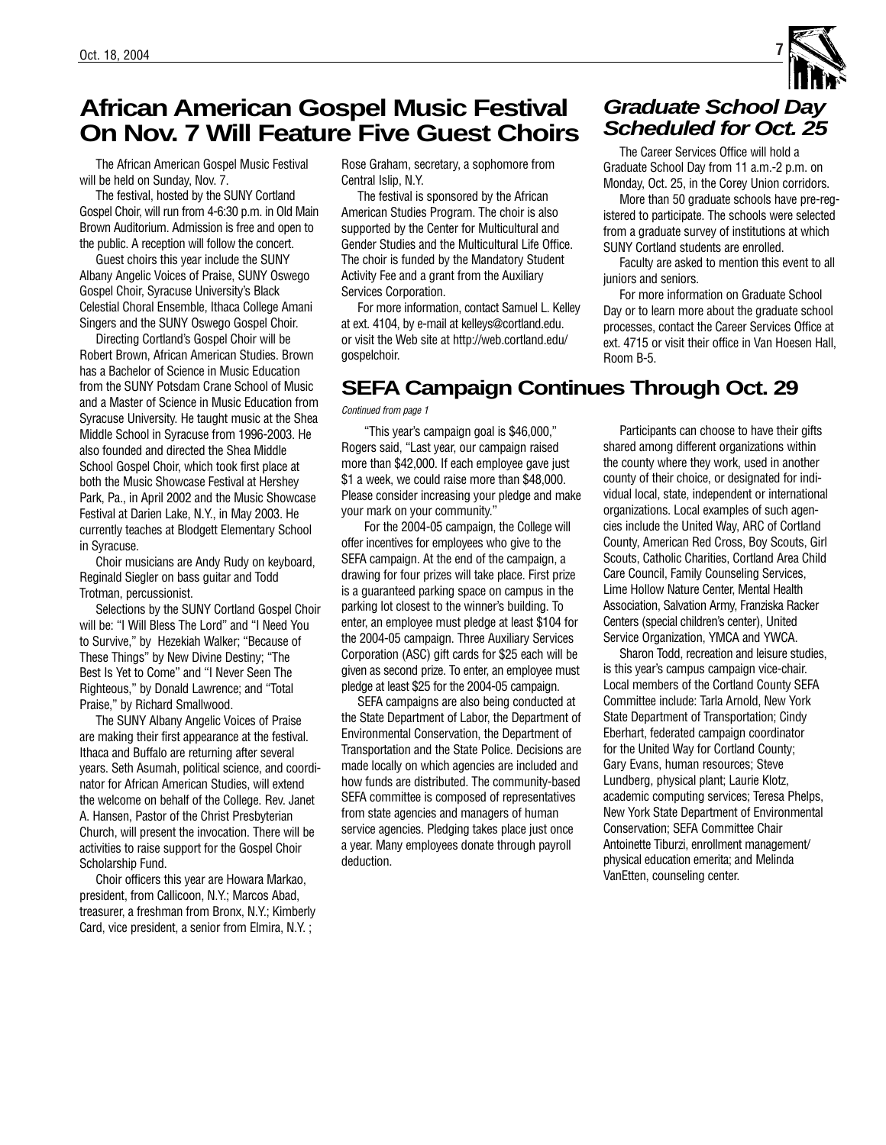# **African American Gospel Music Festival On Nov. 7 Will Feature Five Guest Choirs**

The African American Gospel Music Festival will be held on Sunday, Nov. 7.

The festival, hosted by the SUNY Cortland Gospel Choir, will run from 4-6:30 p.m. in Old Main Brown Auditorium. Admission is free and open to the public. A reception will follow the concert.

Guest choirs this year include the SUNY Albany Angelic Voices of Praise, SUNY Oswego Gospel Choir, Syracuse University's Black Celestial Choral Ensemble, Ithaca College Amani Singers and the SUNY Oswego Gospel Choir.

Directing Cortland's Gospel Choir will be Robert Brown, African American Studies. Brown has a Bachelor of Science in Music Education from the SUNY Potsdam Crane School of Music and a Master of Science in Music Education from Syracuse University. He taught music at the Shea Middle School in Syracuse from 1996-2003. He also founded and directed the Shea Middle School Gospel Choir, which took first place at both the Music Showcase Festival at Hershey Park, Pa., in April 2002 and the Music Showcase Festival at Darien Lake, N.Y., in May 2003. He currently teaches at Blodgett Elementary School in Syracuse.

Choir musicians are Andy Rudy on keyboard, Reginald Siegler on bass guitar and Todd Trotman, percussionist.

Selections by the SUNY Cortland Gospel Choir will be: "I Will Bless The Lord" and "I Need You to Survive," by Hezekiah Walker; "Because of These Things" by New Divine Destiny; "The Best Is Yet to Come" and "I Never Seen The Righteous," by Donald Lawrence; and "Total Praise," by Richard Smallwood.

The SUNY Albany Angelic Voices of Praise are making their first appearance at the festival. Ithaca and Buffalo are returning after several years. Seth Asumah, political science, and coordinator for African American Studies, will extend the welcome on behalf of the College. Rev. Janet A. Hansen, Pastor of the Christ Presbyterian Church, will present the invocation. There will be activities to raise support for the Gospel Choir Scholarship Fund.

Choir officers this year are Howara Markao, president, from Callicoon, N.Y.; Marcos Abad, treasurer, a freshman from Bronx, N.Y.; Kimberly Card, vice president, a senior from Elmira, N.Y. ;

Rose Graham, secretary, a sophomore from Central Islip, N.Y.

The festival is sponsored by the African American Studies Program. The choir is also supported by the Center for Multicultural and Gender Studies and the Multicultural Life Office. The choir is funded by the Mandatory Student Activity Fee and a grant from the Auxiliary Services Corporation.

For more information, contact Samuel L. Kelley at ext. 4104, by e-mail at kelleys@cortland.edu. or visit the Web site at http://web.cortland.edu/ gospelchoir.

## **SEFA Campaign Continues Through Oct. 29**

#### Continued from page 1

"This year's campaign goal is \$46,000," Rogers said, "Last year, our campaign raised more than \$42,000. If each employee gave just \$1 a week, we could raise more than \$48,000. Please consider increasing your pledge and make your mark on your community."

For the 2004-05 campaign, the College will offer incentives for employees who give to the SEFA campaign. At the end of the campaign, a drawing for four prizes will take place. First prize is a guaranteed parking space on campus in the parking lot closest to the winner's building. To enter, an employee must pledge at least \$104 for the 2004-05 campaign. Three Auxiliary Services Corporation (ASC) gift cards for \$25 each will be given as second prize. To enter, an employee must pledge at least \$25 for the 2004-05 campaign.

SEFA campaigns are also being conducted at the State Department of Labor, the Department of Environmental Conservation, the Department of Transportation and the State Police. Decisions are made locally on which agencies are included and how funds are distributed. The community-based SEFA committee is composed of representatives from state agencies and managers of human service agencies. Pledging takes place just once a year. Many employees donate through payroll deduction.

# **Graduate School Day Scheduled for Oct. 25**

The Career Services Office will hold a Graduate School Day from 11 a.m.-2 p.m. on Monday, Oct. 25, in the Corey Union corridors.

More than 50 graduate schools have pre-registered to participate. The schools were selected from a graduate survey of institutions at which SUNY Cortland students are enrolled.

Faculty are asked to mention this event to all juniors and seniors.

For more information on Graduate School Day or to learn more about the graduate school processes, contact the Career Services Office at ext. 4715 or visit their office in Van Hoesen Hall, Room B-5.

Participants can choose to have their gifts shared among different organizations within the county where they work, used in another county of their choice, or designated for individual local, state, independent or international organizations. Local examples of such agencies include the United Way, ARC of Cortland County, American Red Cross, Boy Scouts, Girl Scouts, Catholic Charities, Cortland Area Child Care Council, Family Counseling Services, Lime Hollow Nature Center, Mental Health Association, Salvation Army, Franziska Racker Centers (special children's center), United Service Organization, YMCA and YWCA.

Sharon Todd, recreation and leisure studies, is this year's campus campaign vice-chair. Local members of the Cortland County SEFA Committee include: Tarla Arnold, New York State Department of Transportation; Cindy Eberhart, federated campaign coordinator for the United Way for Cortland County; Gary Evans, human resources; Steve Lundberg, physical plant; Laurie Klotz, academic computing services; Teresa Phelps, New York State Department of Environmental Conservation; SEFA Committee Chair Antoinette Tiburzi, enrollment management/ physical education emerita; and Melinda VanEtten, counseling center.

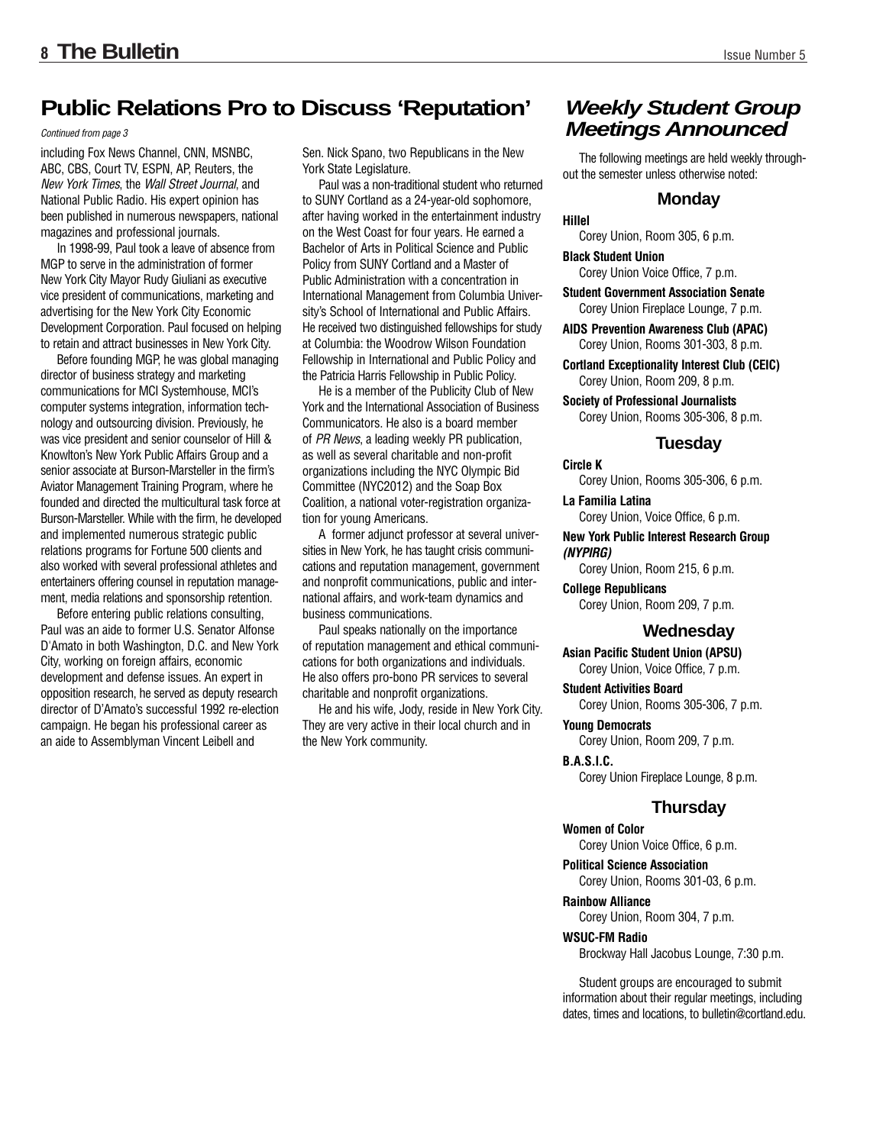## **Public Relations Pro to Discuss 'Reputation'**

#### Continued from page 3

including Fox News Channel, CNN, MSNBC, ABC, CBS, Court TV, ESPN, AP, Reuters, the New York Times, the Wall Street Journal, and National Public Radio. His expert opinion has been published in numerous newspapers, national magazines and professional journals.

In 1998-99, Paul took a leave of absence from MGP to serve in the administration of former New York City Mayor Rudy Giuliani as executive vice president of communications, marketing and advertising for the New York City Economic Development Corporation. Paul focused on helping to retain and attract businesses in New York City.

Before founding MGP, he was global managing director of business strategy and marketing communications for MCI Systemhouse, MCI's computer systems integration, information technology and outsourcing division. Previously, he was vice president and senior counselor of Hill & Knowlton's New York Public Affairs Group and a senior associate at Burson-Marsteller in the firm's Aviator Management Training Program, where he founded and directed the multicultural task force at Burson-Marsteller. While with the firm, he developed and implemented numerous strategic public relations programs for Fortune 500 clients and also worked with several professional athletes and entertainers offering counsel in reputation management, media relations and sponsorship retention.

Before entering public relations consulting, Paul was an aide to former U.S. Senator Alfonse D'Amato in both Washington, D.C. and New York City, working on foreign affairs, economic development and defense issues. An expert in opposition research, he served as deputy research director of D'Amato's successful 1992 re-election campaign. He began his professional career as an aide to Assemblyman Vincent Leibell and

Sen. Nick Spano, two Republicans in the New York State Legislature.

Paul was a non-traditional student who returned to SUNY Cortland as a 24-year-old sophomore, after having worked in the entertainment industry on the West Coast for four years. He earned a Bachelor of Arts in Political Science and Public Policy from SUNY Cortland and a Master of Public Administration with a concentration in International Management from Columbia University's School of International and Public Affairs. He received two distinguished fellowships for study at Columbia: the Woodrow Wilson Foundation Fellowship in International and Public Policy and the Patricia Harris Fellowship in Public Policy.

He is a member of the Publicity Club of New York and the International Association of Business Communicators. He also is a board member of PR News, a leading weekly PR publication, as well as several charitable and non-profit organizations including the NYC Olympic Bid Committee (NYC2012) and the Soap Box Coalition, a national voter-registration organization for young Americans.

A former adjunct professor at several universities in New York, he has taught crisis communications and reputation management, government and nonprofit communications, public and international affairs, and work-team dynamics and business communications.

Paul speaks nationally on the importance of reputation management and ethical communications for both organizations and individuals. He also offers pro-bono PR services to several charitable and nonprofit organizations.

He and his wife, Jody, reside in New York City. They are very active in their local church and in the New York community.

## **Weekly Student Group Meetings Announced**

The following meetings are held weekly throughout the semester unless otherwise noted:

#### **Monday**

#### **Hillel**

Corey Union, Room 305, 6 p.m.

#### **Black Student Union**

Corey Union Voice Office, 7 p.m.

**Student Government Association Senate** Corey Union Fireplace Lounge, 7 p.m.

**AIDS Prevention Awareness Club (APAC)** Corey Union, Rooms 301-303, 8 p.m.

**Cortland Exceptionality Interest Club (CEIC)** Corey Union, Room 209, 8 p.m.

**Society of Professional Journalists** Corey Union, Rooms 305-306, 8 p.m.

#### **Tuesday**

#### **Circle K**

Corey Union, Rooms 305-306, 6 p.m.

**La Familia Latina** Corey Union, Voice Office, 6 p.m.

**New York Public Interest Research Group**  *(NYPIRG)*

Corey Union, Room 215, 6 p.m.

**College Republicans** Corey Union, Room 209, 7 p.m.

#### **Wednesday**

**Asian Pacific Student Union (APSU)** Corey Union, Voice Office, 7 p.m.

**Student Activities Board** Corey Union, Rooms 305-306, 7 p.m.

#### **Young Democrats**

Corey Union, Room 209, 7 p.m.

**B.A.S.I.C.**  Corey Union Fireplace Lounge, 8 p.m.

#### **Thursday**

#### **Women of Color**

Corey Union Voice Office, 6 p.m.

**Political Science Association** Corey Union, Rooms 301-03, 6 p.m.

**Rainbow Alliance** Corey Union, Room 304, 7 p.m.

#### **WSUC-FM Radio**

Brockway Hall Jacobus Lounge, 7:30 p.m.

Student groups are encouraged to submit information about their regular meetings, including dates, times and locations, to bulletin@cortland.edu.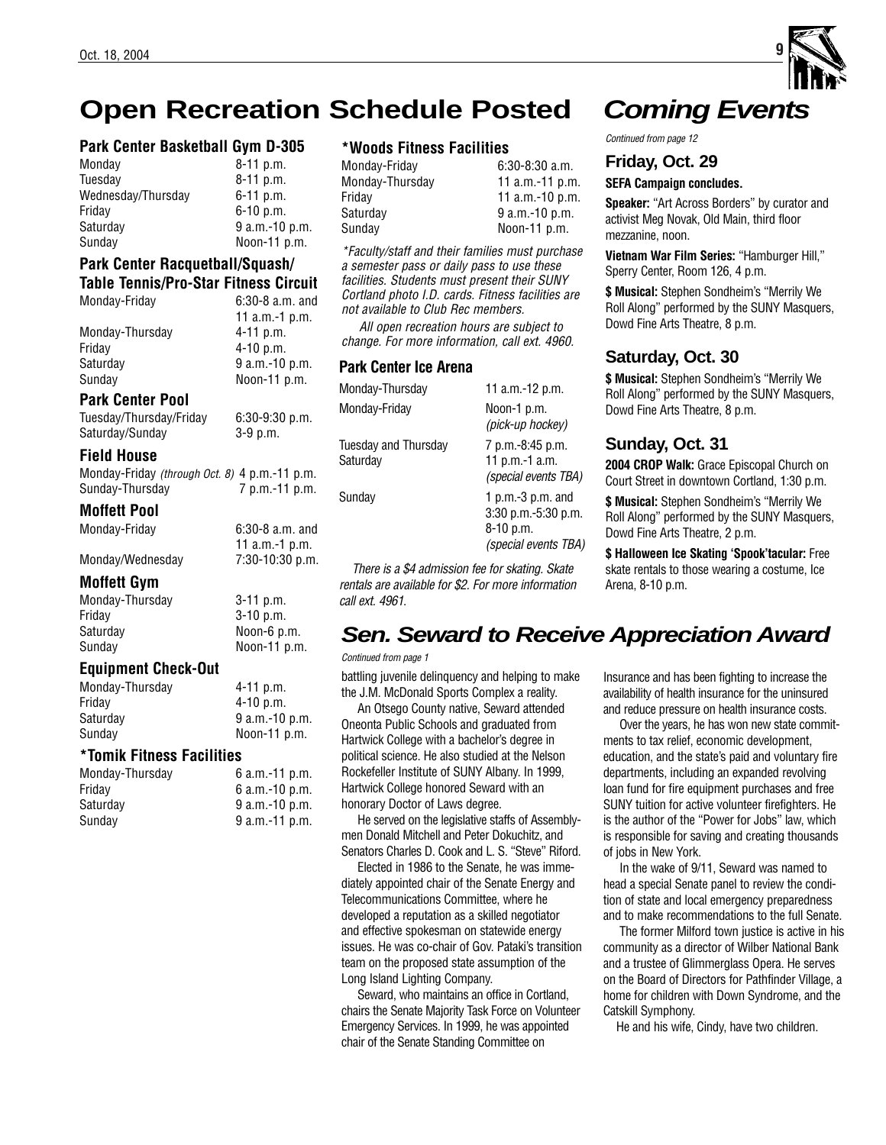# **Open Recreation Schedule Posted**

### **Park Center Basketball Gym D-305**

| Monday             | $8-11$ p.m.    |
|--------------------|----------------|
| Tuesdav            | $8-11$ p.m.    |
| Wednesday/Thursday | $6-11$ p.m.    |
| Friday             | $6-10$ p.m.    |
| Saturday           | 9 a.m.-10 p.m. |
| Sunday             | Noon-11 p.m.   |

## **Park Center Racquetball/Squash/**

### **Table Tennis/Pro-Star Fitness Circuit**

| Monday-Friday   | $6:30-8$ a.m. and<br>11 $a.m.-1 p.m.$ |
|-----------------|---------------------------------------|
| Monday-Thursday | $4 - 11$ p.m.                         |
| Fridav          | $4-10$ p.m.                           |
| Saturday        | $9 a.m.-10 p.m.$                      |
| Sunday          | Noon-11 p.m.                          |
|                 |                                       |

### **Park Center Pool**

| Tuesday/Thursday/Friday | $6:30-9:30$ p.m. |
|-------------------------|------------------|
| Saturday/Sunday         | 3-9 p.m.         |

## **Field House**

Monday-Friday (through Oct. 8) 4 p.m.-11 p.m. Sunday-Thursday 7 p.m.-11 p.m.

#### **Moffett Pool**

| Monday-Friday |  |
|---------------|--|
|---------------|--|

Monday/Wednesday 7:30-10:30 p.m.

#### **Moffett Gym**

| Monday-Thursday |  |
|-----------------|--|
| Friday          |  |
| Saturday        |  |
| Sunday          |  |

 $3-11$  p.m.  $3-10$  p.m. Noon-6 p.m. Noon-11 p.m.

 $6:30-8$  a.m. and 11 a.m.-1 p.m.

### **Equipment Check-Out**

| Monday-Thursday | $4 - 11$ p.m.    |
|-----------------|------------------|
| Fridav          | $4 - 10$ p.m.    |
| Saturdav        | $9$ a.m.-10 p.m. |
| Sundav          | Noon-11 p.m.     |

### **\*Tomik Fitness Facilities**

| $6$ a.m.-10 p.m. |
|------------------|
| 9 a.m.-10 p.m.   |
| 9 a.m.-11 p.m.   |
|                  |

#### **\*Woods Fitness Facilities**

| Monday-Friday   | $6:30-8:30$ a.m.  |
|-----------------|-------------------|
| Monday-Thursday | 11 $a.m.-11 p.m.$ |
| Fridav          | 11 $a.m.-10 p.m.$ |
| Saturday        | $9$ a.m.-10 p.m.  |
| Sunday          | Noon-11 p.m.      |

\*Faculty/staff and their families must purchase a semester pass or daily pass to use these facilities. Students must present their SUNY Cortland photo I.D. cards. Fitness facilities are not available to Club Rec members.

All open recreation hours are subject to change. For more information, call ext. 4960.

#### **Park Center Ice Arena**

| Monday-Thursday                  | 11 a.m.-12 p.m.                                                                       |
|----------------------------------|---------------------------------------------------------------------------------------|
| Monday-Friday                    | Noon-1 p.m.<br>(pick-up hockey)                                                       |
| Tuesday and Thursday<br>Saturday | 7 p.m.-8:45 p.m.<br>11 p.m.-1 $a.m.$<br>(special events TBA)                          |
| Sundav                           | 1 p.m.- $3$ p.m. and<br>$3:30$ p.m.- $5:30$ p.m.<br>8-10 p.m.<br>(special events TBA) |

There is a \$4 admission fee for skating. Skate rentals are available for \$2. For more information call ext. 4961.

# **Coming Events**

Continued from page 12

#### **Friday, Oct. 29**

#### **SEFA Campaign concludes.**

**Speaker:** "Art Across Borders" by curator and activist Meg Novak, Old Main, third floor mezzanine, noon.

**Vietnam War Film Series:** "Hamburger Hill," Sperry Center, Room 126, 4 p.m.

**\$ Musical:** Stephen Sondheim's "Merrily We Roll Along" performed by the SUNY Masquers, Dowd Fine Arts Theatre, 8 p.m.

## **Saturday, Oct. 30**

**\$ Musical:** Stephen Sondheim's "Merrily We Roll Along" performed by the SUNY Masquers, Dowd Fine Arts Theatre, 8 p.m.

## **Sunday, Oct. 31**

**2004 CROP Walk:** Grace Episcopal Church on Court Street in downtown Cortland, 1:30 p.m.

**\$ Musical:** Stephen Sondheim's "Merrily We Roll Along" performed by the SUNY Masquers, Dowd Fine Arts Theatre, 2 p.m.

**\$ Halloween Ice Skating 'Spook'tacular:** Free skate rentals to those wearing a costume, Ice Arena, 8-10 p.m.

# **Sen. Seward to Receive Appreciation Award**

#### Continued from page 1

battling juvenile delinquency and helping to make the J.M. McDonald Sports Complex a reality.

An Otsego County native, Seward attended Oneonta Public Schools and graduated from Hartwick College with a bachelor's degree in political science. He also studied at the Nelson Rockefeller Institute of SUNY Albany. In 1999, Hartwick College honored Seward with an honorary Doctor of Laws degree.

He served on the legislative staffs of Assemblymen Donald Mitchell and Peter Dokuchitz, and Senators Charles D. Cook and L. S. "Steve" Riford.

Elected in 1986 to the Senate, he was immediately appointed chair of the Senate Energy and Telecommunications Committee, where he developed a reputation as a skilled negotiator and effective spokesman on statewide energy issues. He was co-chair of Gov. Pataki's transition team on the proposed state assumption of the Long Island Lighting Company.

Seward, who maintains an office in Cortland, chairs the Senate Majority Task Force on Volunteer Emergency Services. In 1999, he was appointed chair of the Senate Standing Committee on

Insurance and has been fighting to increase the availability of health insurance for the uninsured and reduce pressure on health insurance costs.

Over the years, he has won new state commitments to tax relief, economic development, education, and the state's paid and voluntary fire departments, including an expanded revolving loan fund for fire equipment purchases and free SUNY tuition for active volunteer firefighters. He is the author of the "Power for Jobs" law, which is responsible for saving and creating thousands of jobs in New York.

In the wake of 9/11, Seward was named to head a special Senate panel to review the condition of state and local emergency preparedness and to make recommendations to the full Senate.

The former Milford town justice is active in his community as a director of Wilber National Bank and a trustee of Glimmerglass Opera. He serves on the Board of Directors for Pathfinder Village, a home for children with Down Syndrome, and the Catskill Symphony.

He and his wife, Cindy, have two children.

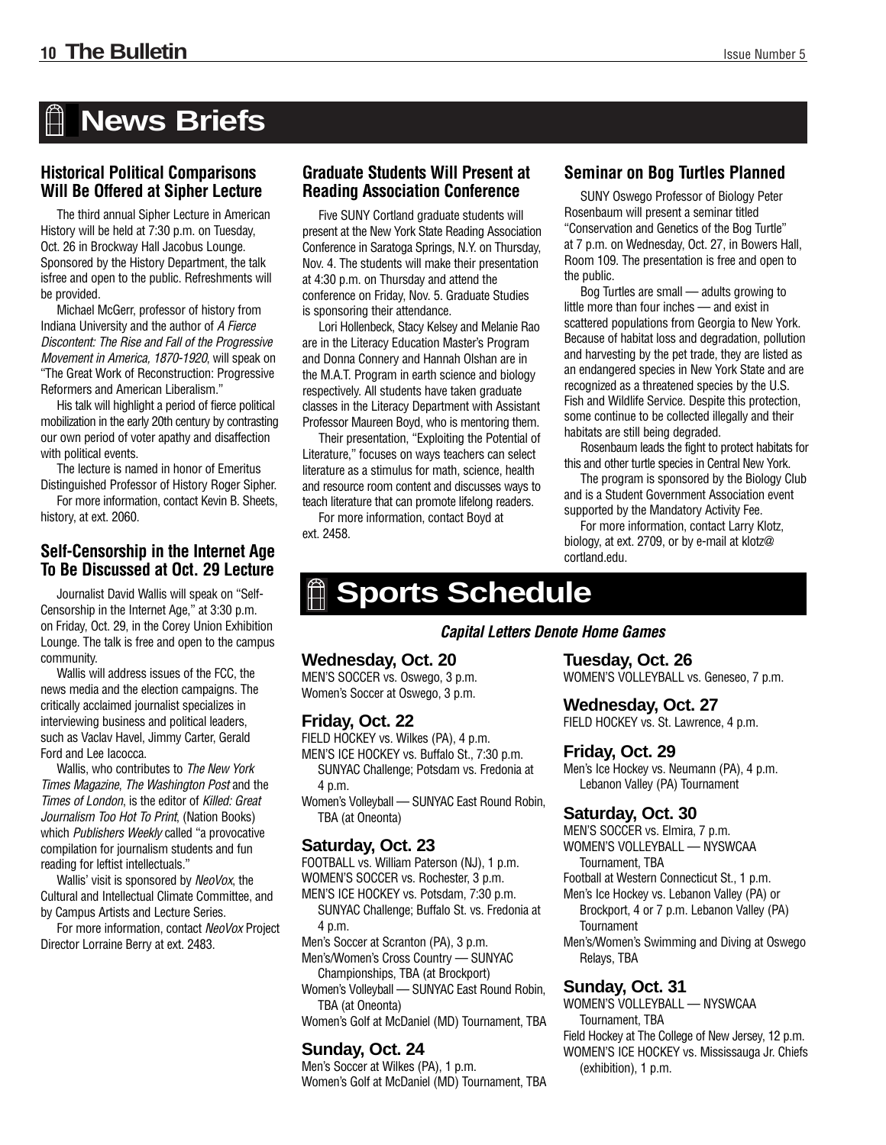# **News Briefs**

## **Historical Political Comparisons Will Be Offered at Sipher Lecture**

The third annual Sipher Lecture in American History will be held at 7:30 p.m. on Tuesday, Oct. 26 in Brockway Hall Jacobus Lounge. Sponsored by the History Department, the talk isfree and open to the public. Refreshments will be provided.

Michael McGerr, professor of history from Indiana University and the author of A Fierce Discontent: The Rise and Fall of the Progressive Movement in America, 1870-1920, will speak on "The Great Work of Reconstruction: Progressive Reformers and American Liberalism."

His talk will highlight a period of fierce political mobilization in the early 20th century by contrasting our own period of voter apathy and disaffection with political events.

The lecture is named in honor of Emeritus

Distinguished Professor of History Roger Sipher. For more information, contact Kevin B. Sheets, history, at ext. 2060.

# **To Be Discussed at Oct. 29 Lecture**

Journalist David Wallis will speak on "Self-Censorship in the Internet Age," at 3:30 p.m. on Friday, Oct. 29, in the Corey Union Exhibition Lounge. The talk is free and open to the campus community.

Wallis will address issues of the FCC, the news media and the election campaigns. The critically acclaimed journalist specializes in interviewing business and political leaders, such as Vaclav Havel, Jimmy Carter, Gerald Ford and Lee Iacocca.

Wallis, who contributes to The New York Times Magazine, The Washington Post and the Times of London, is the editor of Killed: Great Journalism Too Hot To Print. (Nation Books) which Publishers Weekly called "a provocative compilation for journalism students and fun reading for leftist intellectuals."

Wallis' visit is sponsored by NeoVox, the Cultural and Intellectual Climate Committee, and by Campus Artists and Lecture Series.

For more information, contact NeoVox Project Director Lorraine Berry at ext. 2483.

## **Graduate Students Will Present at Reading Association Conference**

Five SUNY Cortland graduate students will present at the New York State Reading Association Conference in Saratoga Springs, N.Y. on Thursday, Nov. 4. The students will make their presentation at 4:30 p.m. on Thursday and attend the conference on Friday, Nov. 5. Graduate Studies is sponsoring their attendance.

Lori Hollenbeck, Stacy Kelsey and Melanie Rao are in the Literacy Education Master's Program and Donna Connery and Hannah Olshan are in the M.A.T. Program in earth science and biology respectively. All students have taken graduate classes in the Literacy Department with Assistant Professor Maureen Boyd, who is mentoring them.

Their presentation, "Exploiting the Potential of Literature," focuses on ways teachers can select literature as a stimulus for math, science, health and resource room content and discusses ways to teach literature that can promote lifelong readers.

For more information, contact Boyd at ext. 2458.

## **Seminar on Bog Turtles Planned**

SUNY Oswego Professor of Biology Peter Rosenbaum will present a seminar titled "Conservation and Genetics of the Bog Turtle" at 7 p.m. on Wednesday, Oct. 27, in Bowers Hall, Room 109. The presentation is free and open to the public.

Bog Turtles are small — adults growing to little more than four inches — and exist in scattered populations from Georgia to New York. Because of habitat loss and degradation, pollution and harvesting by the pet trade, they are listed as an endangered species in New York State and are recognized as a threatened species by the U.S. Fish and Wildlife Service. Despite this protection, some continue to be collected illegally and their habitats are still being degraded.

Rosenbaum leads the fight to protect habitats for this and other turtle species in Central New York.

The program is sponsored by the Biology Club and is a Student Government Association event supported by the Mandatory Activity Fee.

For more information, contact Larry Klotz, **Self-Censorship in the Internet Age** Ext. 2433. **Self-Censorship in the Internet Age** cortland.edu.

# **Sports Schedule**

*Capital Letters Denote Home Games*

#### **Wednesday, Oct. 20**

MEN'S SOCCER vs. Oswego, 3 p.m. Women's Soccer at Oswego, 3 p.m.

#### **Friday, Oct. 22**

FIELD HOCKEY vs. Wilkes (PA), 4 p.m. MEN'S ICE HOCKEY vs. Buffalo St., 7:30 p.m. SUNYAC Challenge; Potsdam vs. Fredonia at 4 p.m.

Women's Volleyball — SUNYAC East Round Robin, TBA (at Oneonta)

## **Saturday, Oct. 23**

FOOTBALL vs. William Paterson (NJ), 1 p.m.

WOMEN'S SOCCER vs. Rochester, 3 p.m.

MEN'S ICE HOCKEY vs. Potsdam, 7:30 p.m. SUNYAC Challenge; Buffalo St. vs. Fredonia at 4 p.m.

Men's Soccer at Scranton (PA), 3 p.m. Men's/Women's Cross Country — SUNYAC

Championships, TBA (at Brockport)

Women's Volleyball — SUNYAC East Round Robin, TBA (at Oneonta)

Women's Golf at McDaniel (MD) Tournament, TBA

### **Sunday, Oct. 24**

Men's Soccer at Wilkes (PA), 1 p.m. Women's Golf at McDaniel (MD) Tournament, TBA

### **Tuesday, Oct. 26**

WOMEN'S VOLLEYBALL vs. Geneseo, 7 p.m.

#### **Wednesday, Oct. 27**

FIELD HOCKEY vs. St. Lawrence, 4 p.m.

## **Friday, Oct. 29**

Men's Ice Hockey vs. Neumann (PA), 4 p.m. Lebanon Valley (PA) Tournament

#### **Saturday, Oct. 30**

MEN'S SOCCER vs. Elmira, 7 p.m. WOMEN'S VOLLEYBALL — NYSWCAA

Tournament, TBA

Football at Western Connecticut St., 1 p.m.

Men's Ice Hockey vs. Lebanon Valley (PA) or Brockport, 4 or 7 p.m. Lebanon Valley (PA) **Tournament** 

Men's/Women's Swimming and Diving at Oswego Relays, TBA

#### **Sunday, Oct. 31**

WOMEN'S VOLLEYBALL — NYSWCAA Tournament, TBA Field Hockey at The College of New Jersey, 12 p.m. WOMEN'S ICE HOCKEY vs. Mississauga Jr. Chiefs (exhibition), 1 p.m.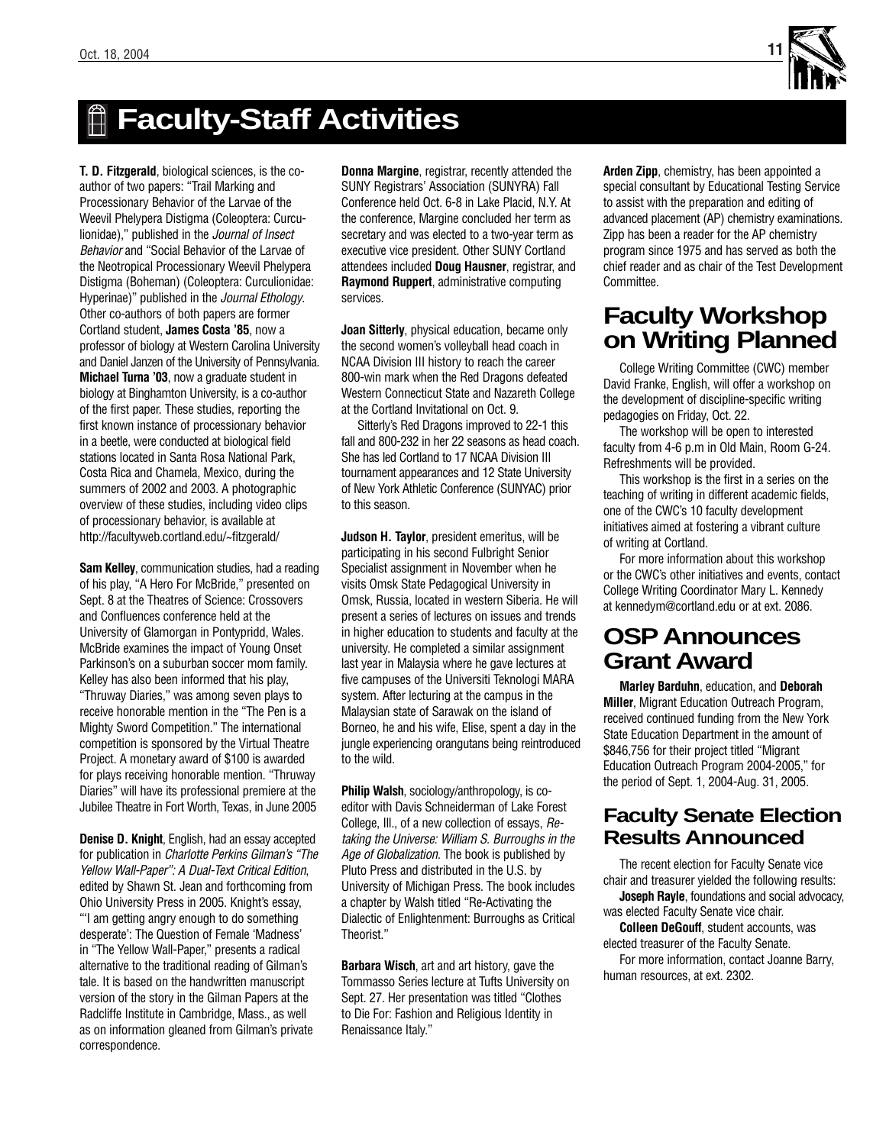

# **Faculty-Staff Activities**

**T. D. Fitzgerald**, biological sciences, is the coauthor of two papers: "Trail Marking and Processionary Behavior of the Larvae of the Weevil Phelypera Distigma (Coleoptera: Curculionidae)," published in the Journal of Insect Behavior and "Social Behavior of the Larvae of the Neotropical Processionary Weevil Phelypera Distigma (Boheman) (Coleoptera: Curculionidae: Hyperinae)" published in the Journal Ethology. Other co-authors of both papers are former Cortland student, **James Costa '85**, now a professor of biology at Western Carolina University and Daniel Janzen of the University of Pennsylvania. **Michael Turna '03**, now a graduate student in biology at Binghamton University, is a co-author of the first paper. These studies, reporting the first known instance of processionary behavior in a beetle, were conducted at biological field stations located in Santa Rosa National Park, Costa Rica and Chamela, Mexico, during the summers of 2002 and 2003. A photographic overview of these studies, including video clips of processionary behavior, is available at http://facultyweb.cortland.edu/~fitzgerald/

**Sam Kelley**, communication studies, had a reading of his play, "A Hero For McBride," presented on Sept. 8 at the Theatres of Science: Crossovers and Confluences conference held at the University of Glamorgan in Pontypridd, Wales. McBride examines the impact of Young Onset Parkinson's on a suburban soccer mom family. Kelley has also been informed that his play, "Thruway Diaries," was among seven plays to receive honorable mention in the "The Pen is a Mighty Sword Competition." The international competition is sponsored by the Virtual Theatre Project. A monetary award of \$100 is awarded for plays receiving honorable mention. "Thruway Diaries" will have its professional premiere at the Jubilee Theatre in Fort Worth, Texas, in June 2005

**Denise D. Knight**, English, had an essay accepted for publication in Charlotte Perkins Gilman's "The Yellow Wall-Paper": A Dual-Text Critical Edition, edited by Shawn St. Jean and forthcoming from Ohio University Press in 2005. Knight's essay, "'I am getting angry enough to do something desperate': The Question of Female 'Madness' in "The Yellow Wall-Paper," presents a radical alternative to the traditional reading of Gilman's tale. It is based on the handwritten manuscript version of the story in the Gilman Papers at the Radcliffe Institute in Cambridge, Mass., as well as on information gleaned from Gilman's private correspondence.

**Donna Margine**, registrar, recently attended the SUNY Registrars' Association (SUNYRA) Fall Conference held Oct. 6-8 in Lake Placid, N.Y. At the conference, Margine concluded her term as secretary and was elected to a two-year term as executive vice president. Other SUNY Cortland attendees included **Doug Hausner**, registrar, and **Raymond Ruppert**, administrative computing services.

**Joan Sitterly**, physical education, became only the second women's volleyball head coach in NCAA Division III history to reach the career 800-win mark when the Red Dragons defeated Western Connecticut State and Nazareth College at the Cortland Invitational on Oct. 9.

Sitterly's Red Dragons improved to 22-1 this fall and 800-232 in her 22 seasons as head coach. She has led Cortland to 17 NCAA Division III tournament appearances and 12 State University of New York Athletic Conference (SUNYAC) prior to this season.

**Judson H. Taylor**, president emeritus, will be participating in his second Fulbright Senior Specialist assignment in November when he visits Omsk State Pedagogical University in Omsk, Russia, located in western Siberia. He will present a series of lectures on issues and trends in higher education to students and faculty at the university. He completed a similar assignment last year in Malaysia where he gave lectures at five campuses of the Universiti Teknologi MARA system. After lecturing at the campus in the Malaysian state of Sarawak on the island of Borneo, he and his wife, Elise, spent a day in the jungle experiencing orangutans being reintroduced to the wild.

**Philip Walsh**, sociology/anthropology, is coeditor with Davis Schneiderman of Lake Forest College, Ill., of a new collection of essays, Retaking the Universe: William S. Burroughs in the Age of Globalization. The book is published by Pluto Press and distributed in the U.S. by University of Michigan Press. The book includes a chapter by Walsh titled "Re-Activating the Dialectic of Enlightenment: Burroughs as Critical Theorist."

**Barbara Wisch**, art and art history, gave the Tommasso Series lecture at Tufts University on Sept. 27. Her presentation was titled "Clothes to Die For: Fashion and Religious Identity in Renaissance Italy."

**Arden Zipp**, chemistry, has been appointed a special consultant by Educational Testing Service to assist with the preparation and editing of advanced placement (AP) chemistry examinations. Zipp has been a reader for the AP chemistry program since 1975 and has served as both the chief reader and as chair of the Test Development Committee.

# **Faculty Workshop on Writing Planned**

College Writing Committee (CWC) member David Franke, English, will offer a workshop on the development of discipline-specific writing pedagogies on Friday, Oct. 22.

The workshop will be open to interested faculty from 4-6 p.m in Old Main, Room G-24. Refreshments will be provided.

This workshop is the first in a series on the teaching of writing in different academic fields, one of the CWC's 10 faculty development initiatives aimed at fostering a vibrant culture of writing at Cortland.

For more information about this workshop or the CWC's other initiatives and events, contact College Writing Coordinator Mary L. Kennedy at kennedym@cortland.edu or at ext. 2086.

# **OSP Announces Grant Award**

**Marley Barduhn**, education, and **Deborah Miller**, Migrant Education Outreach Program, received continued funding from the New York State Education Department in the amount of \$846,756 for their project titled "Migrant Education Outreach Program 2004-2005," for the period of Sept. 1, 2004-Aug. 31, 2005.

## **Faculty Senate Election Results Announced**

The recent election for Faculty Senate vice chair and treasurer yielded the following results: **Joseph Rayle**, foundations and social advocacy, was elected Faculty Senate vice chair.

**Colleen DeGouff**, student accounts, was elected treasurer of the Faculty Senate. For more information, contact Joanne Barry, human resources, at ext. 2302.